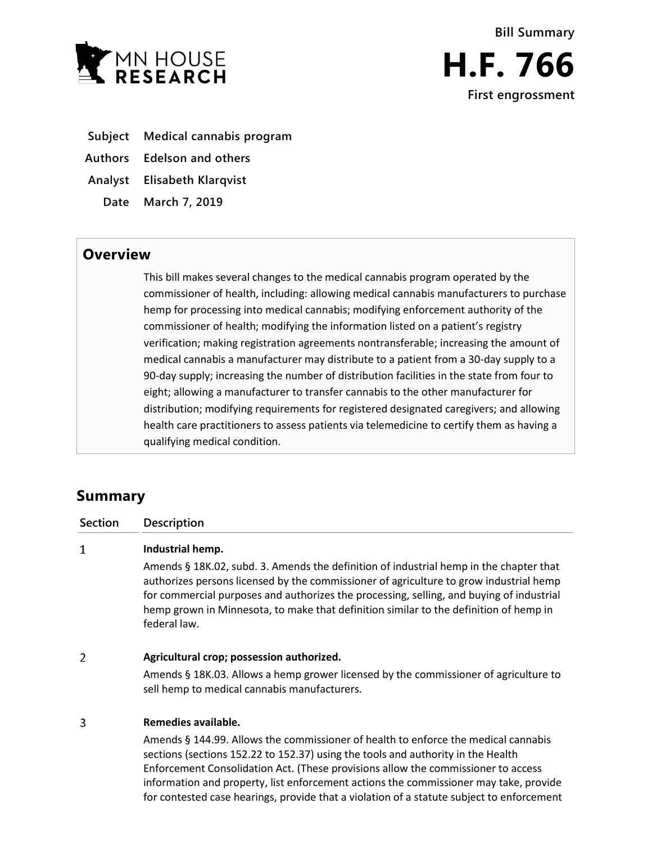

- **Subject Medical cannabis program**
- **Authors Edelson and others**
- **Analyst Elisabeth Klarqvist**
- **Date March 7, 2019**

## **Overview**

This bill makes several changes to the medical cannabis program operated by the commissioner of health, including: allowing medical cannabis manufacturers to purchase hemp for processing into medical cannabis; modifying enforcement authority of the commissioner of health; modifying the information listed on a patient's registry verification; making registration agreements nontransferable; increasing the amount of medical cannabis a manufacturer may distribute to a patient from a 30-day supply to a 90-day supply; increasing the number of distribution facilities in the state from four to eight; allowing a manufacturer to transfer cannabis to the other manufacturer for distribution; modifying requirements for registered designated caregivers; and allowing health care practitioners to assess patients via telemedicine to certify them as having a qualifying medical condition.

# **Summary**

**Section Description**

#### $\mathbf{1}$ **Industrial hemp.**

Amends § 18K.02, subd. 3. Amends the definition of industrial hemp in the chapter that authorizes persons licensed by the commissioner of agriculture to grow industrial hemp for commercial purposes and authorizes the processing, selling, and buying of industrial hemp grown in Minnesota, to make that definition similar to the definition of hemp in federal law.

#### $\overline{2}$ **Agricultural crop; possession authorized.**

Amends § 18K.03. Allows a hemp grower licensed by the commissioner of agriculture to sell hemp to medical cannabis manufacturers.

#### $\overline{\mathbf{3}}$ **Remedies available.**

Amends § 144.99. Allows the commissioner of health to enforce the medical cannabis sections (sections 152.22 to 152.37) using the tools and authority in the Health Enforcement Consolidation Act. (These provisions allow the commissioner to access information and property, list enforcement actions the commissioner may take, provide for contested case hearings, provide that a violation of a statute subject to enforcement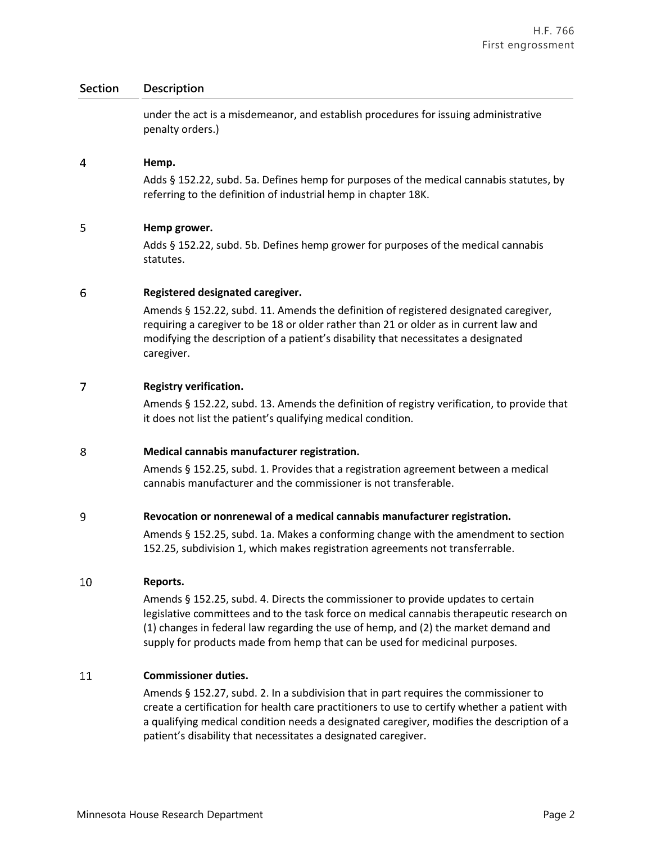### **Section Description**

under the act is a misdemeanor, and establish procedures for issuing administrative penalty orders.)

#### $\overline{4}$ **Hemp.**

Adds § 152.22, subd. 5a. Defines hemp for purposes of the medical cannabis statutes, by referring to the definition of industrial hemp in chapter 18K.

#### 5 **Hemp grower.**

Adds § 152.22, subd. 5b. Defines hemp grower for purposes of the medical cannabis statutes.

#### 6 **Registered designated caregiver.**

Amends § 152.22, subd. 11. Amends the definition of registered designated caregiver, requiring a caregiver to be 18 or older rather than 21 or older as in current law and modifying the description of a patient's disability that necessitates a designated caregiver.

#### $\overline{7}$ **Registry verification.**

Amends § 152.22, subd. 13. Amends the definition of registry verification, to provide that it does not list the patient's qualifying medical condition.

#### 8 **Medical cannabis manufacturer registration.**

Amends § 152.25, subd. 1. Provides that a registration agreement between a medical cannabis manufacturer and the commissioner is not transferable.

#### 9 **Revocation or nonrenewal of a medical cannabis manufacturer registration.**

Amends § 152.25, subd. 1a. Makes a conforming change with the amendment to section 152.25, subdivision 1, which makes registration agreements not transferrable.

#### 10 **Reports.**

Amends § 152.25, subd. 4. Directs the commissioner to provide updates to certain legislative committees and to the task force on medical cannabis therapeutic research on (1) changes in federal law regarding the use of hemp, and (2) the market demand and supply for products made from hemp that can be used for medicinal purposes.

#### 11 **Commissioner duties.**

Amends § 152.27, subd. 2. In a subdivision that in part requires the commissioner to create a certification for health care practitioners to use to certify whether a patient with a qualifying medical condition needs a designated caregiver, modifies the description of a patient's disability that necessitates a designated caregiver.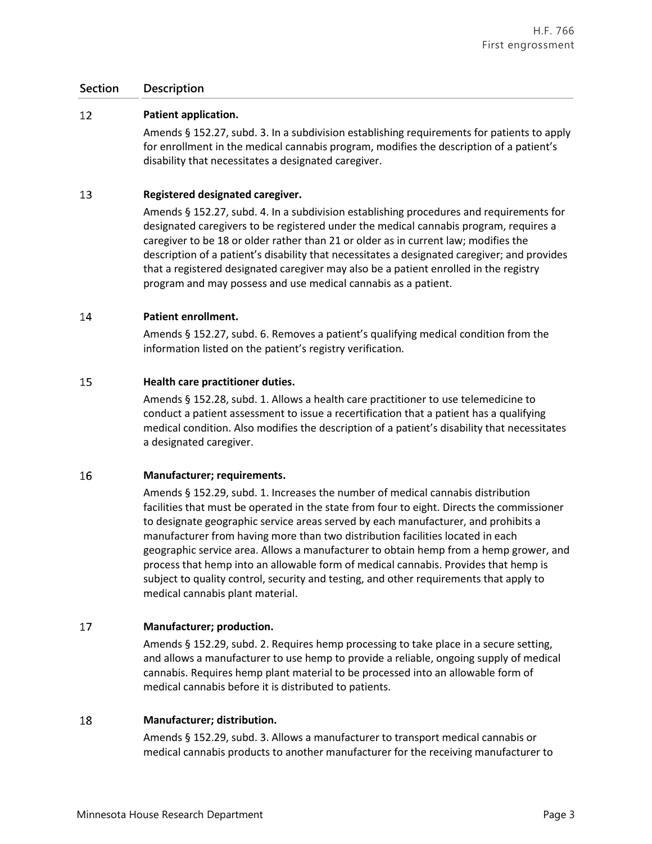### **Section Description**

#### 12 **Patient application.**

Amends § 152.27, subd. 3. In a subdivision establishing requirements for patients to apply for enrollment in the medical cannabis program, modifies the description of a patient's disability that necessitates a designated caregiver.

#### 13 **Registered designated caregiver.**

Amends § 152.27, subd. 4. In a subdivision establishing procedures and requirements for designated caregivers to be registered under the medical cannabis program, requires a caregiver to be 18 or older rather than 21 or older as in current law; modifies the description of a patient's disability that necessitates a designated caregiver; and provides that a registered designated caregiver may also be a patient enrolled in the registry program and may possess and use medical cannabis as a patient.

#### 14 **Patient enrollment.**

Amends § 152.27, subd. 6. Removes a patient's qualifying medical condition from the information listed on the patient's registry verification.

#### 15 **Health care practitioner duties.**

Amends § 152.28, subd. 1. Allows a health care practitioner to use telemedicine to conduct a patient assessment to issue a recertification that a patient has a qualifying medical condition. Also modifies the description of a patient's disability that necessitates a designated caregiver.

#### 16 **Manufacturer; requirements.**

Amends § 152.29, subd. 1. Increases the number of medical cannabis distribution facilities that must be operated in the state from four to eight. Directs the commissioner to designate geographic service areas served by each manufacturer, and prohibits a manufacturer from having more than two distribution facilities located in each geographic service area. Allows a manufacturer to obtain hemp from a hemp grower, and process that hemp into an allowable form of medical cannabis. Provides that hemp is subject to quality control, security and testing, and other requirements that apply to medical cannabis plant material.

#### 17 **Manufacturer; production.**

Amends § 152.29, subd. 2. Requires hemp processing to take place in a secure setting, and allows a manufacturer to use hemp to provide a reliable, ongoing supply of medical cannabis. Requires hemp plant material to be processed into an allowable form of medical cannabis before it is distributed to patients.

#### 18 **Manufacturer; distribution.**

Amends § 152.29, subd. 3. Allows a manufacturer to transport medical cannabis or medical cannabis products to another manufacturer for the receiving manufacturer to